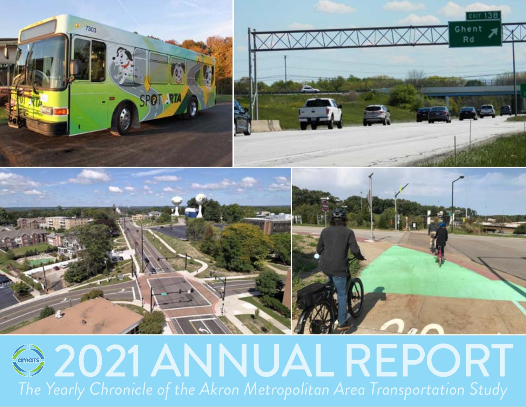

# **@ 2021 ANNUAL REPORT** *The Yearly Chronicle of the Akron Metropolitan Area Transportation Study*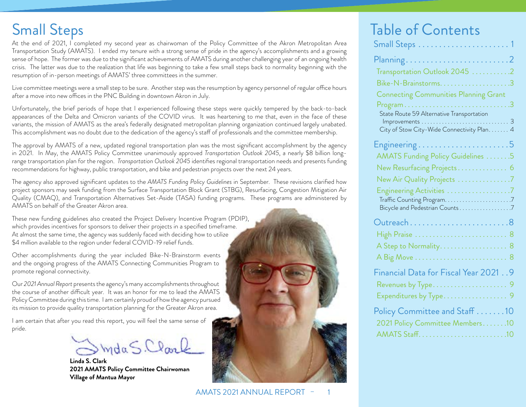**Small Steps** 

At the end of 2021, I completed my second year as chairwoman of the Policy Committee of the Akron Metropolitan Area Transportation Study (AMATS). I ended my tenure with a strong sense of pride in the agency's accomplishments and a growing sense of hope. The former was due to the significant achievements of AMATS during another challenging year of an ongoing health crisis. The latter was due to the realization that life was beginning to take a few small steps back to normality beginning with the resumption of in-person meetings of AMATS' three committees in the summer.

Live committee meetings were a small step to be sure. Another step was the resumption by agency personnel of regular office hours after a move into new offices in the PNC Building in downtown Akron in July.

Unfortunately, the brief periods of hope that I experienced following these steps were quickly tempered by the back-to-back appearances of the Delta and Omicron variants of the COVID virus. It was heartening to me that, even in the face of these variants, the mission of AMATS as the area's federally designated metropolitan planning organization continued largely unabated. This accomplishment was no doubt due to the dedication of the agency's staff of professionals and the committee membership.

The approval by AMATS of a new, updated regional transportation plan was the most significant accomplishment by the agency in 2021. In May, the AMATS Policy Committee unanimously approved Transportation Outlook 2045, a nearly \$8 billion longrange transportation plan for the region. Transportation Outlook 2045 identifies regional transportation needs and presents funding recommendations for highway, public transportation, and bike and pedestrian projects over the next 24 years.

The agency also approved significant updates to the AMATS Funding Policy Guidelines in September. These revisions clarified how project sponsors may seek funding from the Surface Transportation Block Grant (STBG), Resurfacing, Congestion Mitigation Air Quality (CMAQ), and Transportation Alternatives Set-Aside (TASA) funding programs. These programs are administered by AMATS on behalf of the Greater Akron area.

These new funding guidelines also created the Project Delivery Incentive Program (PDIP), which provides incentives for sponsors to deliver their projects in a specified timeframe. At almost the same time, the agency was suddenly faced with deciding how to utilize \$4 million available to the region under federal COVID-19 relief funds.

Other accomplishments during the year included Bike-N-Brainstorm events and the ongoing progress of the AMATS Connecting Communities Program to promote regional connectivity.

Our 2021 Annual Report presents the agency's many accomplishments throughout the course of another difficult year. It was an honor for me to lead the AMATS Policy Committee during this time. I am certainly proud of how the agency pursued its mission to provide quality transportation planning for the Greater Akron area.

I am certain that after you read this report, you will feel the same sense of pride.

ImdaS.Clark

Linda S. Clark 2021 AMATS Policy Committee Chairwoman Village of Mantua Mayor



# **Table of Contents**

| Transportation Outlook 2045 2<br>Bike-N-Brainstorms.<br>3<br><b>Connecting Communities Planning Grant</b><br>3<br>Program .<br>State Route 59 Alternative Transportation<br>З<br>City of Stow City-Wide Connectivity Plan<br>$\overline{\mathcal{A}}$<br>5<br>.<br>${\sf Engineering} \dots$ |
|----------------------------------------------------------------------------------------------------------------------------------------------------------------------------------------------------------------------------------------------------------------------------------------------|
|                                                                                                                                                                                                                                                                                              |
|                                                                                                                                                                                                                                                                                              |
|                                                                                                                                                                                                                                                                                              |
|                                                                                                                                                                                                                                                                                              |
|                                                                                                                                                                                                                                                                                              |
|                                                                                                                                                                                                                                                                                              |
|                                                                                                                                                                                                                                                                                              |
|                                                                                                                                                                                                                                                                                              |
| AMATS Funding Policy Guidelines 5                                                                                                                                                                                                                                                            |
| New Resurfacing Projects 6                                                                                                                                                                                                                                                                   |
| New Air Quality Projects 7                                                                                                                                                                                                                                                                   |
| ${\sf Engineering \, Activities \, \ldots \ldots \ldots \ldots \ldots \, .7}$                                                                                                                                                                                                                |
|                                                                                                                                                                                                                                                                                              |
| Bicycle and Pedestrian Counts 7                                                                                                                                                                                                                                                              |
|                                                                                                                                                                                                                                                                                              |
| High Praise<br>8                                                                                                                                                                                                                                                                             |
| A Step to Normality<br>8                                                                                                                                                                                                                                                                     |
| 8                                                                                                                                                                                                                                                                                            |
| Financial Data for Fiscal Year 2021 9                                                                                                                                                                                                                                                        |
| Revenues by Type<br>9                                                                                                                                                                                                                                                                        |
| Expenditures by Type<br>9                                                                                                                                                                                                                                                                    |
| Policy Committee and Staff 10                                                                                                                                                                                                                                                                |
| 2021 Policy Committee Members                                                                                                                                                                                                                                                                |
| <b>AMATS Staff.</b>                                                                                                                                                                                                                                                                          |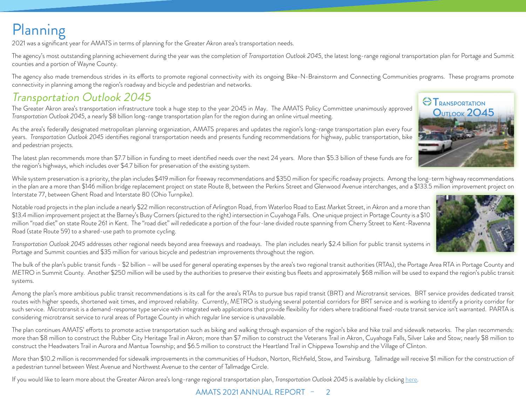# <span id="page-2-0"></span>Planning

2021 was a significant year for AMATS in terms of planning for the Greater Akron area's transportation needs.

The agency's most outstanding planning achievement during the year was the completion of *Transportation Outlook 2045*, the latest long-range regional transportation plan for Portage and Summit counties and a portion of Wayne County.

The agency also made tremendous strides in its efforts to promote regional connectivity with its ongoing Bike-N-Brainstorm and Connecting Communities programs. These programs promote connectivity in planning among the region's roadway and bicycle and pedestrian and networks.

### Transportation Outlook 2045

The Greater Akron area's transportation infrastructure took a huge step to the year 2045 in May. The AMATS Policy Committee unanimously approved *Transportation Outlook 2045*, a nearly \$8 billion long-range transportation plan for the region during an online virtual meeting.

As the area's federally designated metropolitan planning organization, AMATS prepares and updates the region's long-range transportation plan every four years. *Transportation Outlook 2045* identifies regional transportation needs and presents funding recommendations for highway, public transportation, bike and pedestrian projects.

The latest plan recommends more than \$7.7 billion in funding to meet identified needs over the next 24 years. More than \$5.3 billion of these funds are for the region's highways, which includes over \$4.7 billion for preservation of the existing system.

While system preservation is a priority, the plan includes \$419 million for freeway recommendations and \$350 million for specific roadway projects. Among the long-term highway recommendations in the plan are a more than \$146 million bridge replacement project on state Route 8, between the Perkins Street and Glenwood Avenue interchanges, and a \$133.5 million improvement project on Interstate 77, between Ghent Road and Interstate 80 (Ohio Turnpike).

Notable road projects in the plan include a nearly \$22 million reconstruction of Arlington Road, from Waterloo Road to East Market Street, in Akron and a more than \$13.4 million improvement project at the Barney's Busy Corners (pictured to the right) intersection in Cuyahoga Falls. One unique project in Portage County is a \$10 million "road diet" on state Route 261 in Kent. The "road diet" will rededicate a portion of the four-lane divided route spanning from Cherry Street to Kent-Ravenna Road (state Route 59) to a shared-use path to promote cycling.

*Transportation Outlook 2045* addresses other regional needs beyond area freeways and roadways. The plan includes nearly \$2.4 billion for public transit systems in Portage and Summit counties and \$35 million for various bicycle and pedestrian improvements throughout the region.

The bulk of the plan's public transit funds - \$2 billion – will be used for general operating expenses by the area's two regional transit authorities (RTAs), the Portage Area RTA in Portage County and METRO in Summit County. Another \$250 million will be used by the authorities to preserve their existing bus fleets and approximately \$68 million will be used to expand the region's public transit systems.

Among the plan's more ambitious public transit recommendations is its call for the area's RTAs to pursue bus rapid transit (BRT) and Microtransit services. BRT service provides dedicated transit routes with higher speeds, shortened wait times, and improved reliability. Currently, METRO is studying several potential corridors for BRT service and is working to identify a priority corridor for such service. Microtransit is a demand-response type service with integrated web applications that provide flexibility for riders where traditional fixed-route transit service isn't warranted. PARTA is considering microtransit service to rural areas of Portage County in which regular line service is unavailable.

The plan continues AMATS' efforts to promote active transportation such as biking and walking through expansion of the region's bike and hike trail and sidewalk networks. The plan recommends: more than \$8 million to construct the Rubber City Heritage Trail in Akron; more than \$7 million to construct the Veterans Trail in Akron, Cuyahoga Falls, Silver Lake and Stow; nearly \$8 million to construct the Headwaters Trail in Aurora and Mantua Township; and \$6.5 million to construct the Heartland Trail in Chippewa Township and the Village of Clinton.

More than \$10.2 million is recommended for sidewalk improvements in the communities of Hudson, Norton, Richfield, Stow, and Twinsburg. Tallmadge will receive \$1 million for the construction of a pedestrian tunnel between West Avenue and Northwest Avenue to the center of Tallmadge Circle.

If you would like to learn more about the Greater Akron area's long-range regional transportation plan, *Transportation Outlook 2045* is available by clicking [here](http://amatsplanning.org/wp-content/uploads/Transportation-Outlook-2045-FINAL.pdf).

#### AMATS 2021 ANNUAL REPORT - 2



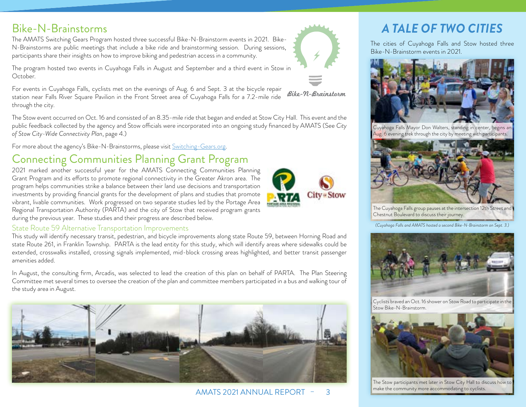2021 marked another successful year for the AMATS Connecting Communities Planning Grant Program and its efforts to promote regional connectivity in the Greater Akron area. The program helps communities strike a balance between their land use decisions and transportation investments by providing financial grants for the development of plans and studies that promote vibrant, livable communities. Work progressed on two separate studies led by the Portage Area Regional Transportation Authority (PARTA) and the city of Stow that received program grants during the previous year. These studies and their progress are described below.

#### State Route 59 Alternative Transportation Improvements

This study will identify necessary transit, pedestrian, and bicycle improvements along state Route 59, between Horning Road and

In August, the consulting firm, Arcadis, was selected to lead the creation of this plan on behalf of PARTA. The Plan Steering Committee met several times to oversee the creation of the plan and committee members participated in a bus and walking tour of the study area in August.

#### <span id="page-3-0"></span>Bike-N-Brainstorms

The AMATS Switching Gears Program hosted three successful Bike-N-Brainstorm events in 2021. Bike-N-Brainstorms are public meetings that include a bike ride and brainstorming session. During sessions, participants share their insights on how to improve biking and pedestrian access in a community.

The program hosted two events in Cuyahoga Falls in August and September and a third event in Stow in

October.

For events in Cuyahoga Falls, cyclists met on the evenings of Aug. 6 and Sept. 3 at the bicycle repair Bike-N-Brainstorm station near Falls River Square Pavilion in the Front Street area of Cuyahoga Falls for a 7.2-mile ride through the city.

The Stow event occurred on Oct. 16 and consisted of an 8.35-mile ride that began and ended at Stow City Hall. This event and the public feedback collected by the agency and Stow officials were incorporated into an ongoing study financed by AMATS (See *City of Stow City-Wide Connectivity Plan*, [page 4.](#page-4-1))

For more about the agency's Bike-N-Brainstorms, please visit [Switching-Gears.org.](http://Switching-Gears.org)

# Connecting Communities Planning Grant Program

state Route 261, in Franklin Township. PARTA is the lead entity for this study, which will identify areas where sidewalks could be extended, crosswalks installed, crossing signals implemented, mid-block crossing areas highlighted, and better transit passenger amenities added.

AMATS 2021 ANNUAL REPORT – 3



The cities of Cuyahoga Falls and Stow hosted three Bike-N-Brainstorm events in 2021.



Cuyahoga Falls Mayor Don Walters, standing in center, begins an Aug. 6 evening trek through the city by meeting with participants.



The Cuyahoga Falls group pauses at the intersection 12th Street and Chestnut Boulevard to discuss their journey.

*(Cuyahoga Falls and AMATS hosted a second Bike-N-Brainstorm on Sept. 3.)*



Cyclists braved an Oct. 16 shower on Stow Road to participate in the Stow Bike-N-Brainstorm.



The Stow participants met later in Stow City Hall to discuss how to make the community more accommodating to cyclists.



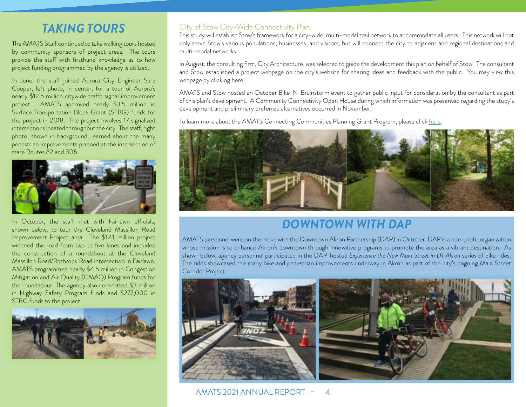#### *TAKING TOURS*

<span id="page-4-0"></span>The AMATS Staff continued to take walking tours hosted by community sponsors of project areas. The tours provide the staff with firsthand knowledge as to how project funding programmed by the agency is utilized.

In June, the staff joined Aurora City Engineer Sara Cooper, left photo, in center, for a tour of Aurora's nearly \$12.5 million citywide traffc signal improvement project. AMATS approved nearly \$3.5 million in Surface Transportation Block Grant (STBG) funds for the project in 2018. The project involves 17 signalized intersections located throughout the city. The staff, right photo, shown in background, learned about the many pedestrian improvements planned at the intersection of state Routes 82 and 306.



In October, the staff met with Fairlawn officials, shown below, to tour the Cleveland Massillon Road Improvement Project area. The \$12.1 million project widened the road from two to five lanes and included the construction of a roundabout at the Cleveland Massillon Road/Rothrock Road intersection in Fairlawn. AMATS programmed nearly \$4.5 million in Congestion Mitigation and Air Quality (CMAQ) Program funds for the roundabout. The agency also committed \$3 million in Highway Safety Program funds and \$277,000 in STBG funds to the project.



#### <span id="page-4-1"></span>City of Stow City-Wide Connectivity Plan

This study will establish Stow's framework for a city-wide, multi-modal trail network to accommodate all users. This network will not only serve Stow's various populations, businesses, and visitors, but will connect the city to adjacent and regional destinations and multi-modal networks.

In August, the consulting firm, City Architecture, was selected to guide the development this plan on behalf of Stow. The consultant and Stow established a project webpage on the city's website for sharing ideas and feedback with the public. You may view this webpage by clicking here.

AMATS and Stow hosted an October Bike-N-Brainstorm event to gather public input for consideration by the consultant as part of this plan's development. A Community Connectivity Open House during which information was presented regarding the study's development and preliminary preferred alternatives occurred in November.

To learn more about the AMATS Connecting Communities Planning Grant Program, please click [here](https://amatsplanning.org/planning/initiatives/connecting-communities/).



### *DOWNTOWN WITH DAP*

AMATS personnel were on the move with the Downtown Akron Partnership (DAP) in October. DAP is a non-profit organization whose mission is to enhance Akron's downtown through innovative programs to promote the area as a vibrant destination. As shown below, agency personnel participated in the DAP-hosted *Experience the New Main Street in DT Akron* series of bike rides. The rides showcased the many bike and pedestrian improvements underway in Akron as part of the city's ongoing Main Street Corridor Project.



AMATS 2021 ANNUAL REPORT – 4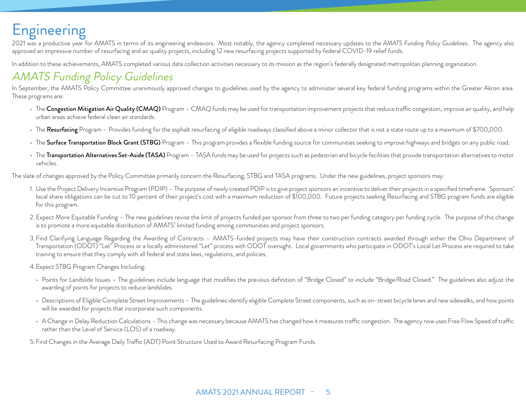# <span id="page-5-0"></span>Engineering

2021 was a productive year for AMATS in terms of its engineering endeavors. Most notably, the agency completed necessary updates to the *AMATS Funding Policy Guidelines*. The agency also approved an impressive number of resurfacing and air quality projects, including 12 new resurfacing projects supported by federal COVID-19 relief funds.

In addition to these achievements, AMATS completed various data collection activities necessary to its mission as the region's federally designated metropolitan planning organization.

### AMATS Funding Policy Guidelines

In September, the AMATS Policy Committee unanimously approved changes to guidelines used by the agency to administer several key federal funding programs within the Greater Akron area. These programs are:

- The Congestion Mitigation Air Quality (CMAQ) Program CMAQ funds may be used for transportation improvement projects that reduce traffic congestion, improve air quality, and help urban areas achieve federal clean air standards.
- The Resurfacing Program Provides funding for the asphalt resurfacing of eligible roadways classified above a minor collector that is not a state route up to a maximum of \$700,000.
- The Surface Transportation Block Grant (STBG) Program This program provides a flexible funding source for communities seeking to improve highways and bridges on any public road.
- The Transportation Alternatives Set-Aside (TASA) Program TASA funds may be used for projects such as pedestrian and bicycle facilities that provide transportation alternatives to motor vehicles.

The slate of changes approved by the Policy Committee primarily concern the Resurfacing, STBG and TASA programs. Under the new guidelines, project sponsors may:

- 1. Use the Project Delivery Incentive Program (PDIP) The purpose of newly created PDIP is to give project sponsors an incentive to deliver their projects in a specified timeframe. Sponsors' local share obligations can be cut to 10 percent of their project's cost with a maximum reduction of \$100,000. Future projects seeking Resurfacing and STBG program funds are eligible for this program.
- 2. Expect More Equitable Funding The new guidelines revise the limit of projects funded per sponsor from three to two per funding category per funding cycle. The purpose of this change is to promote a more equitable distribution of AMATS' limited funding among communities and project sponsors.
- 3. Find Clarifying Language Regarding the Awarding of Contracts AMATS-funded projects may have their construction contracts awarded through either the Ohio Department of Transportation (ODOT) "Let" Process or a locally administered "Let" process with ODOT oversight. Local governments who participate in ODOT's Local Let Process are required to take training to ensure that they comply with all federal and state laws, regulations, and policies.

4. Expect STBG Program Changes Including:

- Points for Landslide Issues The guidelines include language that modifies the previous definition of "Bridge Closed" to include "Bridge/Road Closed." The guidelines also adjust the awarding of points for projects to reduce landslides.
- Descriptions of Eligible Complete Street Improvements The guidelines identify eligible Complete Street components, such as on-street bicycle lanes and new sidewalks, and how points will be awarded for projects that incorporate such components.
- A Change in Delay Reduction Calculations This change was necessary because AMATS has changed how it measures traffic congestion. The agency now uses Free Flow Speed of traffic rather than the Level of Service (LOS) of a roadway.

5. Find Changes in the Average Daily Traffic (ADT) Point Structure Used to Award Resurfacing Program Funds.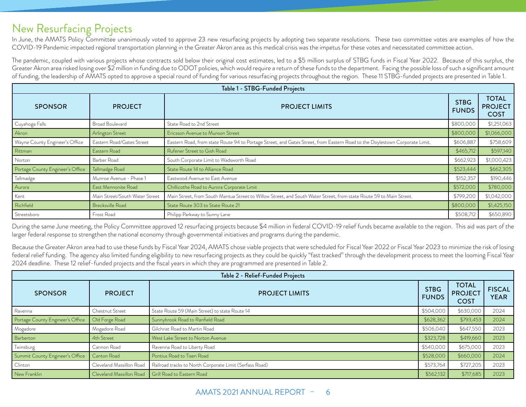#### <span id="page-6-0"></span>New Resurfacing Projects

In June, the AMATS Policy Committee unanimously voted to approve 23 new resurfacing projects by adopting two separate resolutions. These two committee votes are examples of how the COVID-19 Pandemic impacted regional transportation planning in the Greater Akron area as this medical crisis was the impetus for these votes and necessitated committee action.

The pandemic, coupled with various projects whose contracts sold below their original cost estimates, led to a \$5 million surplus of STBG funds in Fiscal Year 2022. Because of this surplus, the Greater Akron area risked losing over \$2 million in funding due to ODOT policies, which would require a return of these funds to the department. Facing the possible loss of such a significant amount of funding, the leadership of AMATS opted to approve a special round of funding for various resurfacing projects throughout the region. These 11 STBG-funded projects are presented in Table 1.

| Table 1 - STBG-Funded Projects   |                                |                                                                                                                             |                             |                                               |
|----------------------------------|--------------------------------|-----------------------------------------------------------------------------------------------------------------------------|-----------------------------|-----------------------------------------------|
| <b>SPONSOR</b>                   | <b>PROJECT</b>                 | <b>PROJECT LIMITS</b>                                                                                                       | <b>STBG</b><br><b>FUNDS</b> | <b>TOTAL</b><br><b>PROJECT</b><br><b>COST</b> |
| Cuyahoga Falls                   | <b>Broad Boulevard</b>         | State Road to 2nd Street                                                                                                    | \$800,000                   | \$1,251,063                                   |
| Akron                            | Arlington Street               | Ericsson Avenue to Munson Street                                                                                            | \$800,000                   | \$1,066,000                                   |
| Wayne County Engineer's Office   | Eastern Road/Gates Street      | Eastern Road, from state Route 94 to Portage Street, and Gates Street, from Eastern Road to the Doylestown Corporate Limit. | \$606,887                   | \$758,609                                     |
| Rittman                          | Eastern Road                   | Rufener Street to Gish Road                                                                                                 | \$465,712                   | \$597,140                                     |
| Norton                           | Barber Road                    | South Corporate Limit to Wadsworth Road                                                                                     | \$662,923                   | \$1,000,423                                   |
| Portage County Engineer's Office | Tallmadge Road                 | State Route 14 to Alliance Road                                                                                             | \$523,444                   | \$662,305                                     |
| Tallmadge                        | Munroe Avenue - Phase 1        | Eastwood Avenue to East Avenue                                                                                              | \$152,357                   | \$190,446                                     |
| Aurora                           | East Mennonite Road            | Chillicothe Road to Aurora Corporate Limit                                                                                  | \$572,000                   | \$780,000                                     |
| Kent                             | Main Street/South Water Street | Main Street, from South Mantua Street to Willow Street, and South Water Street, from state Route 59 to Main Street.         | \$799,200                   | \$1,042,000                                   |
| Richfield                        | Brecksville Road               | State Route 303 to State Route 21                                                                                           | \$800,000                   | \$1,425,150                                   |
| Streetsboro                      | Frost Road                     | Philipp Parkway to Sunny Lane                                                                                               | \$508,712                   | \$650,890                                     |

During the same June meeting, the Policy Committee approved 12 resurfacing projects because \$4 million in federal COVID-19 relief funds became available to the region. This aid was part of the larger federal response to strengthen the national economy through governmental initiatives and programs during the pandemic.

Because the Greater Akron area had to use these funds by Fiscal Year 2024, AMATS chose viable projects that were scheduled for Fiscal Year 2022 or Fiscal Year 2023 to minimize the risk of losing federal relief funding. The agency also limited funding eligibility to new resurfacing projects as they could be quickly "fast tracked" through the development process to meet the looming Fiscal Year 2024 deadline. These 12 relief-funded projects and the fiscal years in which they are programmed are presented in Table 2.

| Table 2 - Relief-Funded Projects |                          |                                                         |                             |                                               |                              |
|----------------------------------|--------------------------|---------------------------------------------------------|-----------------------------|-----------------------------------------------|------------------------------|
| <b>SPONSOR</b>                   | <b>PROJECT</b>           | <b>PROJECT LIMITS</b>                                   | <b>STBG</b><br><b>FUNDS</b> | <b>TOTAL</b><br><b>PROJECT</b><br><b>COST</b> | <b>FISCAL</b><br><b>YEAR</b> |
| Ravenna                          | Chestnut Street          | State Route 59 (Main Street) to state Route 14          | \$504,000                   | \$630,000                                     | 2024                         |
| Portage County Engineer's Office | Old Forge Road           | Sunnybrook Road to Ranfield Road                        | \$628,362                   | \$793,453                                     | 2024                         |
| Mogadore                         | Mogadore Road            | Gilchrist Road to Martin Road                           | \$506,040                   | \$647,55C                                     | 2023                         |
| Barberton                        | 4th Street               | West Lake Street to Norton Avenue                       | \$323,728                   | \$419,660                                     | 2023                         |
| Twinsburg                        | Cannon Road              | Ravenna Road to Liberty Road                            | \$540,000                   | \$675,000                                     | 2023                         |
| Summit County Engineer's Office  | Canton Road              | Pontius Road to Tisen Road                              | \$528,000                   | \$660,000                                     | 2024                         |
| Clinton                          | Cleveland Massillon Road | Railroad tracks to North Corporate Limit (Serfass Road) | \$573,764                   | \$727,205                                     | 2023                         |
| New Franklin                     | Cleveland Massillon Road | Grill Road to Eastern Road                              | \$562,132                   | \$717,685                                     | 2023                         |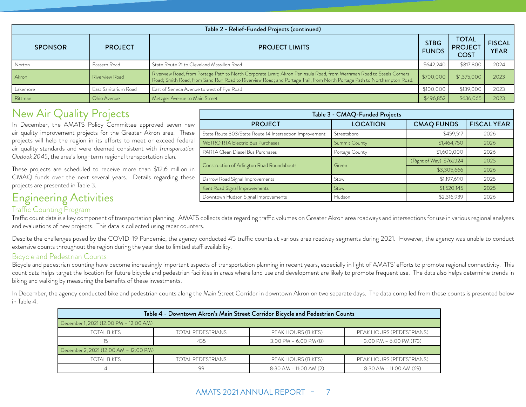<span id="page-7-0"></span>

| Table 2 - Relief-Funded Projects (continued) |                      |                                                                                                                                                                                                                                                                |           |                                               |                              |
|----------------------------------------------|----------------------|----------------------------------------------------------------------------------------------------------------------------------------------------------------------------------------------------------------------------------------------------------------|-----------|-----------------------------------------------|------------------------------|
| <b>SPONSOR</b>                               | <b>PROJECT</b>       | <b>STBG</b><br><b>PROJECT LIMITS</b><br><b>FUNDS</b>                                                                                                                                                                                                           |           | <b>TOTAL</b><br><b>PROJECT</b><br><b>COST</b> | <b>FISCAL</b><br><b>YEAR</b> |
| Norton                                       | Eastern Road         | State Route 21 to Cleveland Massillon Road                                                                                                                                                                                                                     | \$642,240 | \$817,800                                     | 2024                         |
| Akron                                        | Riverview Road       | Riverview Road, from Portage Path to North Corporate Limit; Akron Peninsula Road, from Merriman Road to Steels Corners<br>\$700,000<br>Road; Smith Road, from Sand Run Road to Riverview Road; and Portage Trail, from North Portage Path to Northampton Road. |           | \$1,375,000                                   | 2023                         |
| Lakemore                                     | East Sanitarium Road | East of Seneca Avenue to west of Fye Road                                                                                                                                                                                                                      | \$100,000 | \$139,000                                     | 2023                         |
| Rittman                                      | Ohio Avenue          | Metzger Avenue to Main Street                                                                                                                                                                                                                                  | \$496,852 | \$636,065                                     | 2023                         |

#### New Air Quality Projects

In December, the AMATS Policy Committee approved seven new air quality improvement projects for the Greater Akron area. These projects will help the region in its efforts to meet or exceed federal air quality standards and were deemed consistent with *Transportation Outlook 2045*, the area's long-term regional transportation plan.

These projects are scheduled to receive more than \$12.6 million in CMAQ funds over the next several years. Details regarding these projects are presented in Table 3.

#### Engineering Activities **Downtown Hudson Signal Improvements** Hudson Hudson **Hudson** 82,316,939 2026 Traffic Counting Program

#### Traffic count data is a key component of transportation planning. AMATS collects data regarding traffic volumes on Greater Akron area roadways and intersections for use in various regional analyses and evaluations of new projects. This data is collected using radar counters.

Despite the challenges posed by the COVID-19 Pandemic, the agency conducted 45 traffic counts at various area roadway segments during 2021. However, the agency was unable to conduct extensive counts throughout the region during the year due to limited staff availability.

#### Bicycle and Pedestrian Counts

Bicycle and pedestrian counting have become increasingly important aspects of transportation planning in recent years, especially in light of AMATS' efforts to promote regional connectivity. This count data helps target the location for future bicycle and pedestrian facilities in areas where land use and development are likely to promote frequent use. The data also helps determine trends in biking and walking by measuring the benefits of these investments.

In December, the agency conducted bike and pedestrian counts along the Main Street Corridor in downtown Akron on two separate days. The data compiled from these counts is presented below in Table 4.

| Table 4 - Downtown Akron's Main Street Corridor Bicycle and Pedestrian Counts |                          |                            |                            |  |
|-------------------------------------------------------------------------------|--------------------------|----------------------------|----------------------------|--|
| December 1, 2021 (12:00 PM - 12:00 AM)                                        |                          |                            |                            |  |
| TOTAL BIKES                                                                   | <b>TOTAL PEDESTRIANS</b> | PEAK HOURS (BIKES)         | PEAK HOURS (PEDESTRIANS)   |  |
|                                                                               | 435                      | $3:00$ PM $-6:00$ PM (8)   | $3:00$ PM $-6:00$ PM (173) |  |
| December 2, 2021 (12:00 AM - 12:00 PM)                                        |                          |                            |                            |  |
| TOTAL BIKES                                                                   | TOTAL PEDESTRIANS        | PEAK HOURS (BIKES)         | PEAK HOURS (PEDESTRIANS)   |  |
|                                                                               | 99                       | $8:30$ AM $-$ 11:00 AM (2) | $8:30$ AM - 11:00 AM (69)  |  |

| Main Street Corridor in downtown Akron on two separate days. The data compiled from these counts |                          |                            |  |  |
|--------------------------------------------------------------------------------------------------|--------------------------|----------------------------|--|--|
| kron's Main Street Corridor Bicycle and Pedestrian Counts                                        |                          |                            |  |  |
|                                                                                                  |                          |                            |  |  |
| <b>ESTRIANS</b>                                                                                  | PEAK HOURS (BIKES)       | PEAK HOURS (PEDESTRIANS)   |  |  |
| 35                                                                                               | $3:00$ PM $-6:00$ PM (8) | $3:00$ PM $-6:00$ PM (173) |  |  |

Table 3 - CMAQ-Funded Projects

State Route 303/State Route 14 Intersection Improvement Streetsboro \$459,517 \$459,517 2026 METRO RTA Electric Bus Purchases Summit County Summit County County 31,464,750 2026 PARTA Clean Diesel Bus Purchases **Portage County** Portage County **Partage County** \$1,600,000 2026

Construction of Arlington Road Roundabouts Green (Right of Way) \$762,124 2025<br>Construction of Arlington Road Roundabouts Green (Green 1999)

Darrow Road Signal Improvements Stow Stow Stone Stone Stone Stone Stone Stone Stone Stone Stone Stone Stone Stone Stone Stone Stone Stone Stone Stone Stone Stone Stone Stone Stone Stone Stone Stone Stone Stone Stone Stone Kent Road Signal Improvements Stow Stow Stow \$1,520,145 2025

PROJECT  $\vert$  LOCATION CMAQ FUNDS FISCAL YEAR

\$3,305,666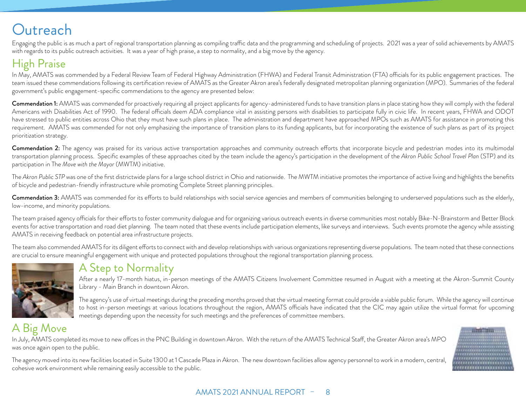# <span id="page-8-0"></span>**Outreach**

Engaging the public is as much a part of regional transportation planning as compiling traffic data and the programming and scheduling of projects. 2021 was a year of solid achievements by AMATS with regards to its public outreach activities. It was a year of high praise, a step to normality, and a big move by the agency.

## High Praise

In May, AMATS was commended by a Federal Review Team of Federal Highway Administration (FHWA) and Federal Transit Administration (FTA) officials for its public engagement practices. The team issued these commendations following its certification review of AMATS as the Greater Akron area's federally designated metropolitan planning organization (MPO). Summaries of the federal government's public engagement-specific commendations to the agency are presented below:

Commendation 1: AMATS was commended for proactively requiring all project applicants for agency-administered funds to have transition plans in place stating how they will comply with the federal Americans with Disabilities Act of 1990. The federal officials deem ADA compliance vital in assisting persons with disabilities to participate fully in civic life. In recent years, FHWA and ODOT have stressed to public entities across Ohio that they must have such plans in place. The administration and department have approached MPOs such as AMATS for assistance in promoting this requirement. AMATS was commended for not only emphasizing the importance of transition plans to its funding applicants, but for incorporating the existence of such plans as part of its project prioritization strategy.

**Commendation 2:** The agency was praised for its various active transportation approaches and community outreach efforts that incorporate bicycle and pedestrian modes into its multimodal transportation planning process. Specific examples of these approaches cited by the team include the agency's participation in the development of the *Akron Public School Travel Plan* (STP) and its participation in The *Move with the Mayor* (MWTM) initiative.

The *Akron Public STP* was one of the first districtwide plans for a large school district in Ohio and nationwide. The MWTM initiative promotes the importance of active living and highlights the benefits of bicycle and pedestrian-friendly infrastructure while promoting Complete Street planning principles.

Commendation 3: AMATS was commended for its efforts to build relationships with social service agencies and members of communities belonging to underserved populations such as the elderly, low-income, and minority populations.

The team praised agency officials for their efforts to foster community dialogue and for organizing various outreach events in diverse communities most notably Bike-N-Brainstorm and Better Block events for active transportation and road diet planning. The team noted that these events include participation elements, like surveys and interviews. Such events promote the agency while assisting AMATS in receiving feedback on potential area infrastructure projects.

The team also commended AMATS for its diligent efforts to connect with and develop relationships with various organizations representing diverse populations. The team noted that these connections are crucial to ensure meaningful engagement with unique and protected populations throughout the regional transportation planning process.



### A Step to Normality

After a nearly 17-month hiatus, in-person meetings of the AMATS Citizens Involvement Committee resumed in August with a meeting at the Akron-Summit County Library - Main Branch in downtown Akron.

The agency's use of virtual meetings during the preceding months proved that the virtual meeting format could provide a viable public forum. While the agency will continue to host in-person meetings at various locations throughout the region, AMATS officials have indicated that the CIC may again utilize the virtual format for upcoming meetings depending upon the necessity for such meetings and the preferences of committee members.

### A Big Move

In July, AMATS completed its move to new offces in the PNC Building in downtown Akron. With the return of the AMATS Technical Staff, the Greater Akron area's MPO was once again open to the public.

The agency moved into its new facilities located in Suite 1300 at 1 Cascade Plaza in Akron. The new downtown facilities allow agency personnel to work in a modern, central, cohesive work environment while remaining easily accessible to the public.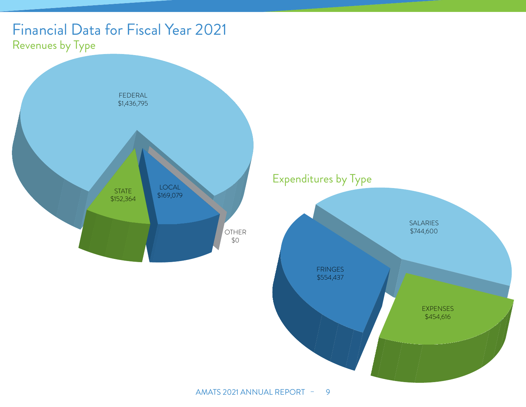# <span id="page-9-0"></span>Financial Data for Fiscal Year 2021 Revenues by Type



Expenditures by Type

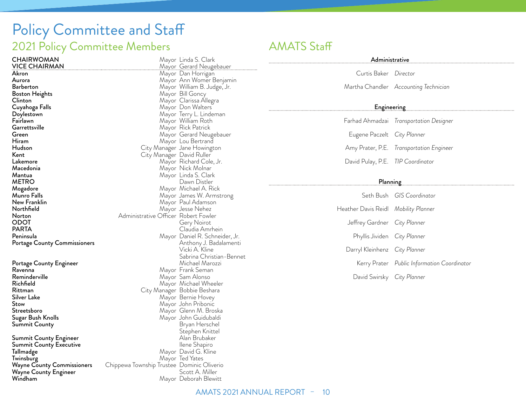# <span id="page-10-0"></span>Policy Committee and Staff 2021 Policy Committee Members **AMATS** Staff

| Mayor                  |
|------------------------|
| Mayor                  |
| Mayor                  |
| Mayor                  |
| Mayor                  |
| Mayor                  |
| Mayor                  |
| Mayor                  |
| Mayor                  |
| Mayor                  |
| Mayor                  |
| Mayor                  |
| Mayor                  |
| City Manager           |
| City Manager           |
| Mayor                  |
| Mayor                  |
| Mayor                  |
|                        |
| Mayor                  |
| Mayor                  |
| Mayor                  |
| Mayor                  |
| Administrative Officer |
|                        |
|                        |
| Mayor                  |
|                        |
|                        |

Portage County Engineer<br>Ravenna Ravenna Mayor Frank Seman<br>Reminderville Electronic Communication of Mayor Sam Alonso Reminderville Mayor Sam Alonso Richfield Mayor Michael Wheeler Rittman City Manager Bobbie Beshara Silver Lake Mayor Bernie Hovey<br>
Stow Mayor John Pribonic Stow Mayor John Pribonic Sugar Bush Knolls Mayor John Guidubaldi<br>Summit County Mayor John Guidubaldi Summit County Summit County Engineer Alan Brubaker (Alan Brubaker)<br>Summit County Executive Alan Brubaker (Alan Brubaker) Summit County Executive **Tallmadge** Tall**madge** Mayor David G. Kline<br>Twinsburg Mayor Ted Yates Twinsburg<br>
Wayne County Commissioners Chippewa Township Trustee Dominic (

Wayne County Engineer<br>Windham

Gerard Neugebauer<br>Dan Horrigan Ann Womer Benjamin William B. Judge, Jr. **Bill Goncy** Clarissa Állegra Don Walters Terry L. Lindeman William Roth Rick Patrick Gerard Neugebauer Lou Bertrand Jane Howington David Ruller Richard Cole, Jr. Nick Molnar Linda S. Clark Dawn Distler Michael A. Rick James W. Armstrong Paul Adamson Jesse Nehez Robert Fowler Gery Noirot Claudia Amrhein Daniel R. Schneider, Jr. Anthony J. Badalamenti Vicki A. Kline Sabrina Christian-Bennet Mayor Glenn M. Broska Stephen Knittel Chippewa Township Trustee Dominic Oliverio<br>Scott A. Miller Mayor Deborah Blewitt

Linda S. Clark

.....................

| Administrative entrance and all the set of the set of the set of the set of the set of the set of the set of the set of the set of the set of the set of the set of the set of the set of the set of the set of the set of the |                                          |  |
|--------------------------------------------------------------------------------------------------------------------------------------------------------------------------------------------------------------------------------|------------------------------------------|--|
| Curtis Baker Director                                                                                                                                                                                                          |                                          |  |
|                                                                                                                                                                                                                                | Martha Chandler Accounting Technician    |  |
|                                                                                                                                                                                                                                |                                          |  |
|                                                                                                                                                                                                                                | Farhad Ahmadzai Transportation Designer  |  |
| Eugene Paczelt City Planner                                                                                                                                                                                                    |                                          |  |
|                                                                                                                                                                                                                                | Amy Prater, P.E. Transportation Engineer |  |
| David Pulay, P.E. TIP Coordinator                                                                                                                                                                                              |                                          |  |
|                                                                                                                                                                                                                                |                                          |  |
|                                                                                                                                                                                                                                | $SchRuch$ CIS Coordinator                |  |

. . . . . . . . . . . . . .

. . . . . . . . . . . . . . .

. . . . . . . . . . . . . .

|                                      | <u>JELII DUSIT – UIJ COOHIHIILOH</u>        |
|--------------------------------------|---------------------------------------------|
| Heather Davis Reidl Mobility Planner |                                             |
| Jeffrey Gardner City Planner         |                                             |
| Phyllis Jividen City Planner         |                                             |
| Darryl Kleinhenz City Planner        |                                             |
|                                      | Kerry Prater Public Information Coordinator |
| David Swirsky City Planner           |                                             |